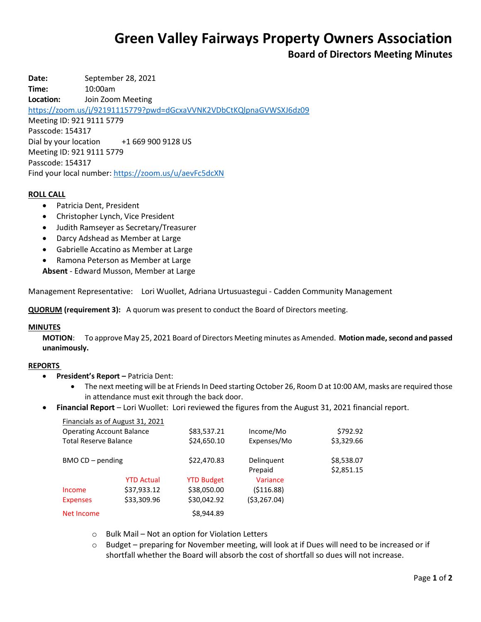# **Green Valley Fairways Property Owners Association**

# **Board of Directors Meeting Minutes**

**Date:** September 28, 2021 **Time:** 10:00am **Location:** Join Zoom Meeting <https://zoom.us/j/92191115779?pwd=dGcxaVVNK2VDbCtKQlpnaGVWSXJ6dz09> Meeting ID: 921 9111 5779 Passcode: 154317 Dial by your location +1 669 900 9128 US Meeting ID: 921 9111 5779 Passcode: 154317 Find your local number[: https://zoom.us/u/aevFc5dcXN](https://zoom.us/u/aevFc5dcXN)

### **ROLL CALL**

- Patricia Dent, President
- Christopher Lynch, Vice President
- Judith Ramseyer as Secretary/Treasurer
- Darcy Adshead as Member at Large
- Gabrielle Accatino as Member at Large
- Ramona Peterson as Member at Large

**Absent** - Edward Musson, Member at Large

Management Representative: Lori Wuollet, Adriana Urtusuastegui - Cadden Community Management

**QUORUM (requirement 3):** A quorum was present to conduct the Board of Directors meeting.

#### **MINUTES**

**MOTION**: To approve May 25, 2021 Board of Directors Meeting minutes as Amended. **Motion made, second and passed unanimously.**

#### **REPORTS**

- **President's Report –** Patricia Dent:
	- The next meeting will be at Friends In Deed starting October 26, Room D at 10:00 AM, masks are required those in attendance must exit through the back door.
- **Financial Report** Lori Wuollet: Lori reviewed the figures from the August 31, 2021 financial report.

| Financials as of August 31, 2021<br><b>Operating Account Balance</b><br><b>Total Reserve Balance</b> |                   | \$83,537.21<br>\$24,650.10 | Income/Mo<br>Expenses/Mo | \$792.92<br>\$3,329.66   |
|------------------------------------------------------------------------------------------------------|-------------------|----------------------------|--------------------------|--------------------------|
| $BMOCD - pending$                                                                                    |                   | \$22,470.83                | Delinquent<br>Prepaid    | \$8,538.07<br>\$2,851.15 |
|                                                                                                      | <b>YTD Actual</b> | <b>YTD Budget</b>          | Variance                 |                          |
| Income                                                                                               | \$37,933.12       | \$38,050.00                | (\$116.88)               |                          |
| <b>Expenses</b>                                                                                      | \$33,309.96       | \$30,042.92                | (\$3,267.04)             |                          |
| Net Income                                                                                           |                   | \$8,944.89                 |                          |                          |

- o Bulk Mail Not an option for Violation Letters
- $\circ$  Budget preparing for November meeting, will look at if Dues will need to be increased or if shortfall whether the Board will absorb the cost of shortfall so dues will not increase.